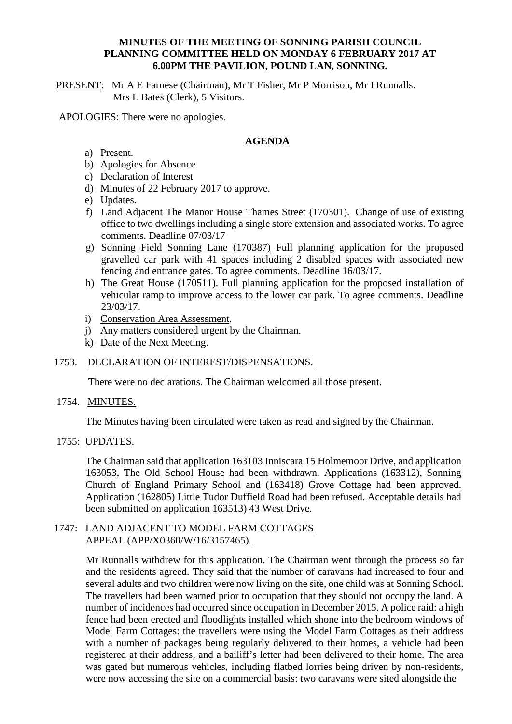### **MINUTES OF THE MEETING OF SONNING PARISH COUNCIL PLANNING COMMITTEE HELD ON MONDAY 6 FEBRUARY 2017 AT 6.00PM THE PAVILION, POUND LAN, SONNING.**

PRESENT: Mr A E Farnese (Chairman), Mr T Fisher, Mr P Morrison, Mr I Runnalls. Mrs L Bates (Clerk), 5 Visitors.

APOLOGIES: There were no apologies.

### **AGENDA**

- a) Present.
- b) Apologies for Absence
- c) Declaration of Interest
- d) Minutes of 22 February 2017 to approve.
- e) Updates.
- f) Land Adjacent The Manor House Thames Street (170301). Change of use of existing office to two dwellings including a single store extension and associated works. To agree comments. Deadline 07/03/17
- g) Sonning Field Sonning Lane (170387) Full planning application for the proposed gravelled car park with 41 spaces including 2 disabled spaces with associated new fencing and entrance gates. To agree comments. Deadline 16/03/17.
- h) The Great House (170511). Full planning application for the proposed installation of vehicular ramp to improve access to the lower car park. To agree comments. Deadline 23/03/17.
- i) Conservation Area Assessment.
- j) Any matters considered urgent by the Chairman.
- k) Date of the Next Meeting.

# 1753. DECLARATION OF INTEREST/DISPENSATIONS.

There were no declarations. The Chairman welcomed all those present.

1754. MINUTES.

The Minutes having been circulated were taken as read and signed by the Chairman.

#### 1755: UPDATES.

The Chairman said that application 163103 Inniscara 15 Holmemoor Drive, and application 163053, The Old School House had been withdrawn. Applications (163312), Sonning Church of England Primary School and (163418) Grove Cottage had been approved. Application (162805) Little Tudor Duffield Road had been refused. Acceptable details had been submitted on application 163513) 43 West Drive.

## 1747: LAND ADJACENT TO MODEL FARM COTTAGES APPEAL (APP/X0360/W/16/3157465).

Mr Runnalls withdrew for this application. The Chairman went through the process so far and the residents agreed. They said that the number of caravans had increased to four and several adults and two children were now living on the site, one child was at Sonning School. The travellers had been warned prior to occupation that they should not occupy the land. A number of incidences had occurred since occupation in December 2015. A police raid: a high fence had been erected and floodlights installed which shone into the bedroom windows of Model Farm Cottages: the travellers were using the Model Farm Cottages as their address with a number of packages being regularly delivered to their homes, a vehicle had been registered at their address, and a bailiff's letter had been delivered to their home. The area was gated but numerous vehicles, including flatbed lorries being driven by non-residents, were now accessing the site on a commercial basis: two caravans were sited alongside the